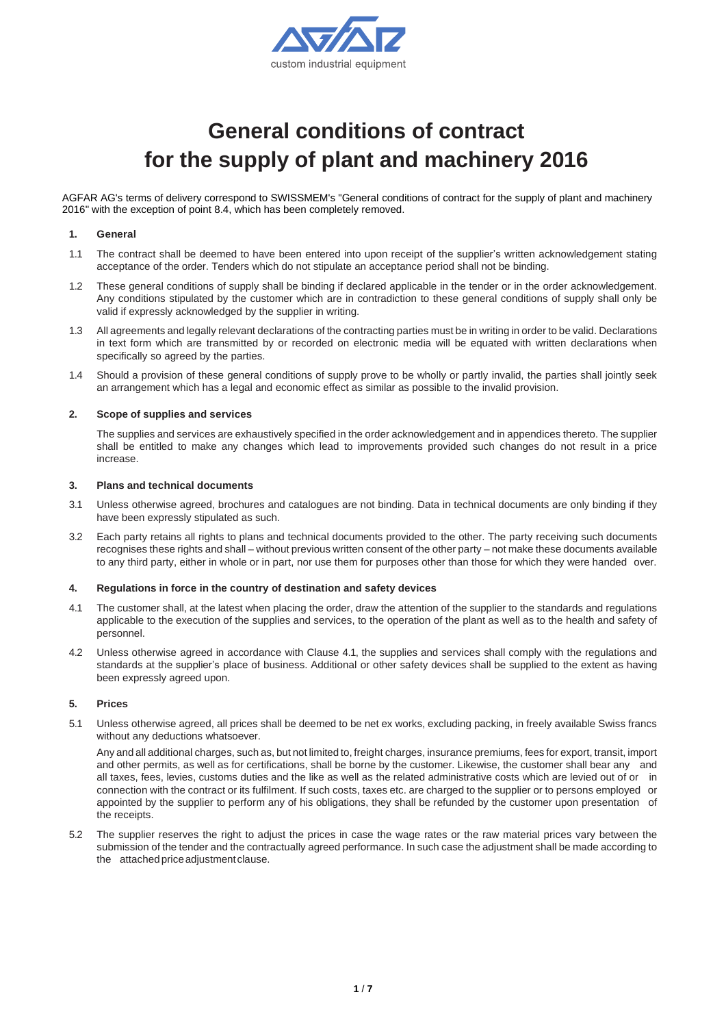

# **General conditions of contract for the supply of plant and machinery 2016**

AGFAR AG's terms of delivery correspond to SWISSMEM's "General conditions of contract for the supply of plant and machinery 2016" with the exception of point 8.4, which has been completely removed.

#### **1. General**

- 1.1 The contract shall be deemed to have been entered into upon receipt of the supplier's written acknowledgement stating acceptance of the order. Tenders which do not stipulate an acceptance period shall not be binding.
- 1.2 These general conditions of supply shall be binding if declared applicable in the tender or in the order acknowledgement. Any conditions stipulated by the customer which are in contradiction to these general conditions of supply shall only be valid if expressly acknowledged by the supplier in writing.
- 1.3 All agreements and legally relevant declarations of the contracting parties must be in writing in order to be valid. Declarations in text form which are transmitted by or recorded on electronic media will be equated with written declarations when specifically so agreed by the parties.
- 1.4 Should a provision of these general conditions of supply prove to be wholly or partly invalid, the parties shall jointly seek an arrangement which has a legal and economic effect as similar as possible to the invalid provision.

#### **2. Scope of supplies and services**

The supplies and services are exhaustively specified in the order acknowledgement and in appendices thereto. The supplier shall be entitled to make any changes which lead to improvements provided such changes do not result in a price increase.

#### **3. Plans and technical documents**

- 3.1 Unless otherwise agreed, brochures and catalogues are not binding. Data in technical documents are only binding if they have been expressly stipulated as such.
- 3.2 Each party retains all rights to plans and technical documents provided to the other. The party receiving such documents recognises these rights and shall – without previous written consent of the other party – not make these documents available to any third party, either in whole or in part, nor use them for purposes other than those for which they were handed over.

#### **4. Regulations in force in the country of destination and safety devices**

- 4.1 The customer shall, at the latest when placing the order, draw the attention of the supplier to the standards and regulations applicable to the execution of the supplies and services, to the operation of the plant as well as to the health and safety of personnel.
- 4.2 Unless otherwise agreed in accordance with Clause 4.1, the supplies and services shall comply with the regulations and standards at the supplier's place of business. Additional or other safety devices shall be supplied to the extent as having been expressly agreed upon.

#### **5. Prices**

5.1 Unless otherwise agreed, all prices shall be deemed to be net ex works, excluding packing, in freely available Swiss francs without any deductions whatsoever.

Any and all additional charges, such as, but not limited to, freight charges, insurance premiums, fees for export, transit, import and other permits, as well as for certifications, shall be borne by the customer. Likewise, the customer shall bear any and all taxes, fees, levies, customs duties and the like as well as the related administrative costs which are levied out of or in connection with the contract or its fulfilment. If such costs, taxes etc. are charged to the supplier or to persons employed or appointed by the supplier to perform any of his obligations, they shall be refunded by the customer upon presentation of the receipts.

5.2 The supplier reserves the right to adjust the prices in case the wage rates or the raw material prices vary between the submission of the tender and the contractually agreed performance. In such case the adjustment shall be made according to the attached price adjustment clause.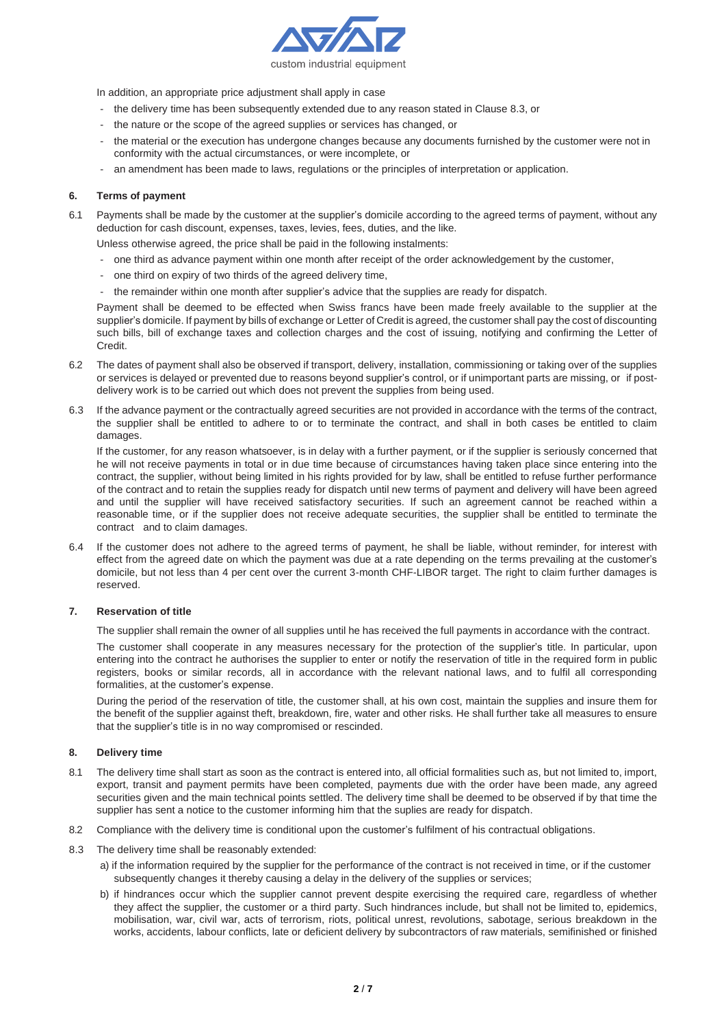

In addition, an appropriate price adjustment shall apply in case

- the delivery time has been subsequently extended due to any reason stated in Clause 8.3, or
- the nature or the scope of the agreed supplies or services has changed, or
- the material or the execution has undergone changes because any documents furnished by the customer were not in conformity with the actual circumstances, or were incomplete, or
- an amendment has been made to laws, regulations or the principles of interpretation or application.

#### **6. Terms of payment**

6.1 Payments shall be made by the customer at the supplier's domicile according to the agreed terms of payment, without any deduction for cash discount, expenses, taxes, levies, fees, duties, and the like.

Unless otherwise agreed, the price shall be paid in the following instalments:

- one third as advance payment within one month after receipt of the order acknowledgement by the customer,
- one third on expiry of two thirds of the agreed delivery time,
- the remainder within one month after supplier's advice that the supplies are ready for dispatch.

Payment shall be deemed to be effected when Swiss francs have been made freely available to the supplier at the supplier's domicile. If payment by bills of exchange or Letter of Credit is agreed, the customer shall pay the cost of discounting such bills, bill of exchange taxes and collection charges and the cost of issuing, notifying and confirming the Letter of Credit.

- 6.2 The dates of payment shall also be observed if transport, delivery, installation, commissioning or taking over of the supplies or services is delayed or prevented due to reasons beyond supplier's control, or if unimportant parts are missing, or if postdelivery work is to be carried out which does not prevent the supplies from being used.
- 6.3 If the advance payment or the contractually agreed securities are not provided in accordance with the terms of the contract, the supplier shall be entitled to adhere to or to terminate the contract, and shall in both cases be entitled to claim damages.

If the customer, for any reason whatsoever, is in delay with a further payment, or if the supplier is seriously concerned that he will not receive payments in total or in due time because of circumstances having taken place since entering into the contract, the supplier, without being limited in his rights provided for by law, shall be entitled to refuse further performance of the contract and to retain the supplies ready for dispatch until new terms of payment and delivery will have been agreed and until the supplier will have received satisfactory securities. If such an agreement cannot be reached within a reasonable time, or if the supplier does not receive adequate securities, the supplier shall be entitled to terminate the contract and to claim damages.

6.4 If the customer does not adhere to the agreed terms of payment, he shall be liable, without reminder, for interest with effect from the agreed date on which the payment was due at a rate depending on the terms prevailing at the customer's domicile, but not less than 4 per cent over the current 3-month CHF-LIBOR target. The right to claim further damages is reserved.

#### **7. Reservation of title**

The supplier shall remain the owner of all supplies until he has received the full payments in accordance with the contract.

The customer shall cooperate in any measures necessary for the protection of the supplier's title. In particular, upon entering into the contract he authorises the supplier to enter or notify the reservation of title in the required form in public registers, books or similar records, all in accordance with the relevant national laws, and to fulfil all corresponding formalities, at the customer's expense.

During the period of the reservation of title, the customer shall, at his own cost, maintain the supplies and insure them for the benefit of the supplier against theft, breakdown, fire, water and other risks. He shall further take all measures to ensure that the supplier's title is in no way compromised or rescinded.

## **8. Delivery time**

- 8.1 The delivery time shall start as soon as the contract is entered into, all official formalities such as, but not limited to, import, export, transit and payment permits have been completed, payments due with the order have been made, any agreed securities given and the main technical points settled. The delivery time shall be deemed to be observed if by that time the supplier has sent a notice to the customer informing him that the suplies are ready for dispatch.
- 8.2 Compliance with the delivery time is conditional upon the customer's fulfilment of his contractual obligations.
- 8.3 The delivery time shall be reasonably extended:
	- a) if the information required by the supplier for the performance of the contract is not received in time, or if the customer subsequently changes it thereby causing a delay in the delivery of the supplies or services;
	- b) if hindrances occur which the supplier cannot prevent despite exercising the required care, regardless of whether they affect the supplier, the customer or a third party. Such hindrances include, but shall not be limited to, epidemics, mobilisation, war, civil war, acts of terrorism, riots, political unrest, revolutions, sabotage, serious breakdown in the works, accidents, labour conflicts, late or deficient delivery by subcontractors of raw materials, semifinished or finished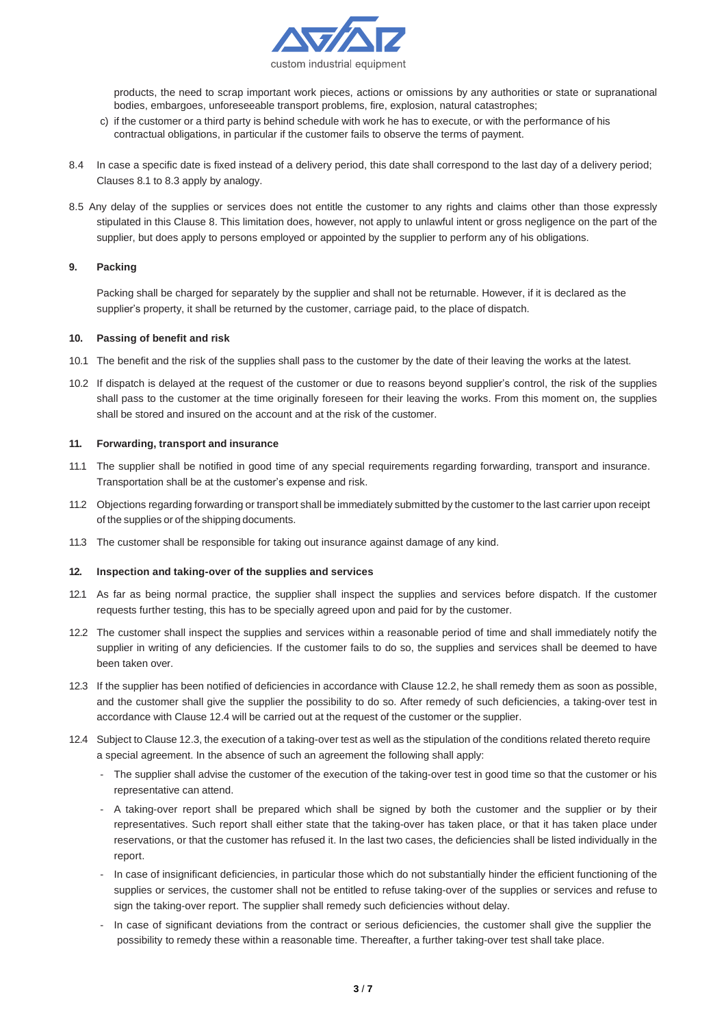

products, the need to scrap important work pieces, actions or omissions by any authorities or state or supranational bodies, embargoes, unforeseeable transport problems, fire, explosion, natural catastrophes;

- c) if the customer or a third party is behind schedule with work he has to execute, or with the performance of his contractual obligations, in particular if the customer fails to observe the terms of payment.
- 8.4 In case a specific date is fixed instead of a delivery period, this date shall correspond to the last day of a delivery period; Clauses 8.1 to 8.3 apply by analogy.
- 8.5 Any delay of the supplies or services does not entitle the customer to any rights and claims other than those expressly stipulated in this Clause 8. This limitation does, however, not apply to unlawful intent or gross negligence on the part of the supplier, but does apply to persons employed or appointed by the supplier to perform any of his obligations.

## **9. Packing**

Packing shall be charged for separately by the supplier and shall not be returnable. However, if it is declared as the supplier's property, it shall be returned by the customer, carriage paid, to the place of dispatch.

#### **10. Passing of benefit and risk**

- 10.1 The benefit and the risk of the supplies shall pass to the customer by the date of their leaving the works at the latest.
- 10.2 If dispatch is delayed at the request of the customer or due to reasons beyond supplier's control, the risk of the supplies shall pass to the customer at the time originally foreseen for their leaving the works. From this moment on, the supplies shall be stored and insured on the account and at the risk of the customer.

#### **11. Forwarding, transport and insurance**

- 11.1 The supplier shall be notified in good time of any special requirements regarding forwarding, transport and insurance. Transportation shall be at the customer's expense and risk.
- 11.2 Objections regarding forwarding or transport shall be immediately submitted by the customer to the last carrier upon receipt of the supplies or of the shipping documents.
- 11.3 The customer shall be responsible for taking out insurance against damage of any kind.

#### **12. Inspection and taking-over of the supplies and services**

- 12.1 As far as being normal practice, the supplier shall inspect the supplies and services before dispatch. If the customer requests further testing, this has to be specially agreed upon and paid for by the customer.
- 12.2 The customer shall inspect the supplies and services within a reasonable period of time and shall immediately notify the supplier in writing of any deficiencies. If the customer fails to do so, the supplies and services shall be deemed to have been taken over.
- 12.3 If the supplier has been notified of deficiencies in accordance with Clause 12.2, he shall remedy them as soon as possible, and the customer shall give the supplier the possibility to do so. After remedy of such deficiencies, a taking-over test in accordance with Clause 12.4 will be carried out at the request of the customer or the supplier.
- 12.4 Subject to Clause 12.3, the execution of a taking-over test as well as the stipulation of the conditions related thereto require a special agreement. In the absence of such an agreement the following shall apply:
	- The supplier shall advise the customer of the execution of the taking-over test in good time so that the customer or his representative can attend.
	- A taking-over report shall be prepared which shall be signed by both the customer and the supplier or by their representatives. Such report shall either state that the taking-over has taken place, or that it has taken place under reservations, or that the customer has refused it. In the last two cases, the deficiencies shall be listed individually in the report.
	- In case of insignificant deficiencies, in particular those which do not substantially hinder the efficient functioning of the supplies or services, the customer shall not be entitled to refuse taking-over of the supplies or services and refuse to sign the taking-over report. The supplier shall remedy such deficiencies without delay.
	- In case of significant deviations from the contract or serious deficiencies, the customer shall give the supplier the possibility to remedy these within a reasonable time. Thereafter, a further taking-over test shall take place.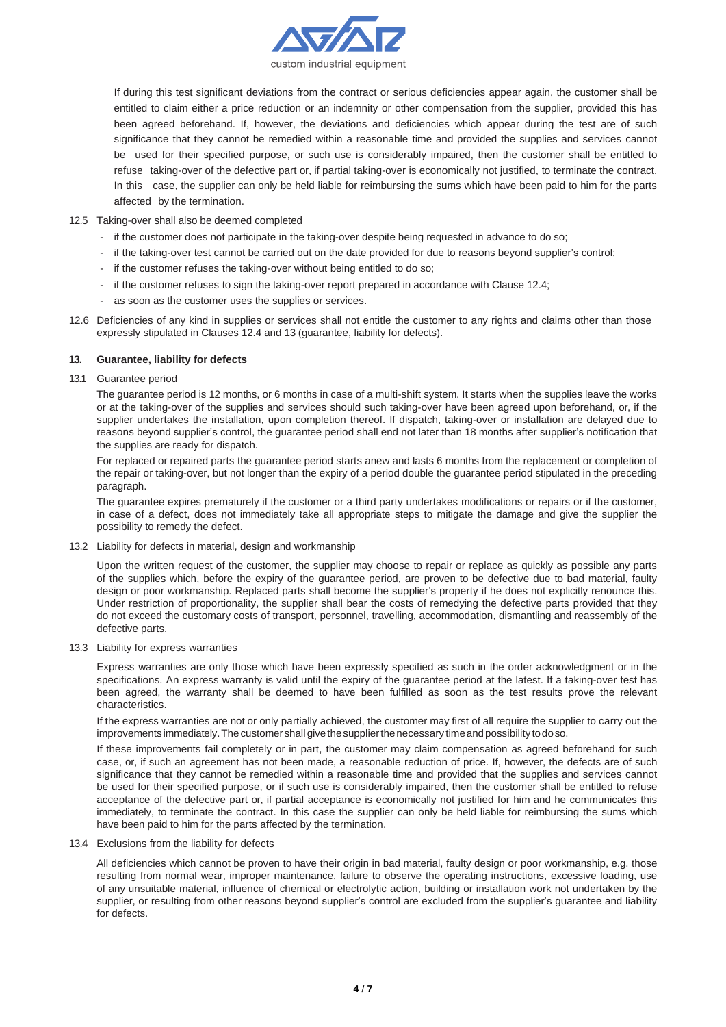

If during this test significant deviations from the contract or serious deficiencies appear again, the customer shall be entitled to claim either a price reduction or an indemnity or other compensation from the supplier, provided this has been agreed beforehand. If, however, the deviations and deficiencies which appear during the test are of such significance that they cannot be remedied within a reasonable time and provided the supplies and services cannot be used for their specified purpose, or such use is considerably impaired, then the customer shall be entitled to refuse taking-over of the defective part or, if partial taking-over is economically not justified, to terminate the contract. In this case, the supplier can only be held liable for reimbursing the sums which have been paid to him for the parts affected by the termination.

#### 12.5 Taking-over shall also be deemed completed

- if the customer does not participate in the taking-over despite being requested in advance to do so;
- if the taking-over test cannot be carried out on the date provided for due to reasons beyond supplier's control;
- if the customer refuses the taking-over without being entitled to do so;
- if the customer refuses to sign the taking-over report prepared in accordance with Clause 12.4;
- as soon as the customer uses the supplies or services.
- 12.6 Deficiencies of any kind in supplies or services shall not entitle the customer to any rights and claims other than those expressly stipulated in Clauses 12.4 and 13 (guarantee, liability for defects).

#### **13. Guarantee, liability for defects**

13.1 Guarantee period

The guarantee period is 12 months, or 6 months in case of a multi-shift system. It starts when the supplies leave the works or at the taking-over of the supplies and services should such taking-over have been agreed upon beforehand, or, if the supplier undertakes the installation, upon completion thereof. If dispatch, taking-over or installation are delayed due to reasons beyond supplier's control, the guarantee period shall end not later than 18 months after supplier's notification that the supplies are ready for dispatch.

For replaced or repaired parts the guarantee period starts anew and lasts 6 months from the replacement or completion of the repair or taking-over, but not longer than the expiry of a period double the guarantee period stipulated in the preceding paragraph.

The guarantee expires prematurely if the customer or a third party undertakes modifications or repairs or if the customer, in case of a defect, does not immediately take all appropriate steps to mitigate the damage and give the supplier the possibility to remedy the defect.

13.2 Liability for defects in material, design and workmanship

Upon the written request of the customer, the supplier may choose to repair or replace as quickly as possible any parts of the supplies which, before the expiry of the guarantee period, are proven to be defective due to bad material, faulty design or poor workmanship. Replaced parts shall become the supplier's property if he does not explicitly renounce this. Under restriction of proportionality, the supplier shall bear the costs of remedying the defective parts provided that they do not exceed the customary costs of transport, personnel, travelling, accommodation, dismantling and reassembly of the defective parts.

13.3 Liability for express warranties

Express warranties are only those which have been expressly specified as such in the order acknowledgment or in the specifications. An express warranty is valid until the expiry of the guarantee period at the latest. If a taking-over test has been agreed, the warranty shall be deemed to have been fulfilled as soon as the test results prove the relevant characteristics.

If the express warranties are not or only partially achieved, the customer may first of all require the supplier to carry out the improvements immediately. The customer shall give the supplier the necessary time and possibility to do so.

If these improvements fail completely or in part, the customer may claim compensation as agreed beforehand for such case, or, if such an agreement has not been made, a reasonable reduction of price. If, however, the defects are of such significance that they cannot be remedied within a reasonable time and provided that the supplies and services cannot be used for their specified purpose, or if such use is considerably impaired, then the customer shall be entitled to refuse acceptance of the defective part or, if partial acceptance is economically not justified for him and he communicates this immediately, to terminate the contract. In this case the supplier can only be held liable for reimbursing the sums which have been paid to him for the parts affected by the termination.

13.4 Exclusions from the liability for defects

All deficiencies which cannot be proven to have their origin in bad material, faulty design or poor workmanship, e.g. those resulting from normal wear, improper maintenance, failure to observe the operating instructions, excessive loading, use of any unsuitable material, influence of chemical or electrolytic action, building or installation work not undertaken by the supplier, or resulting from other reasons beyond supplier's control are excluded from the supplier's guarantee and liability for defects.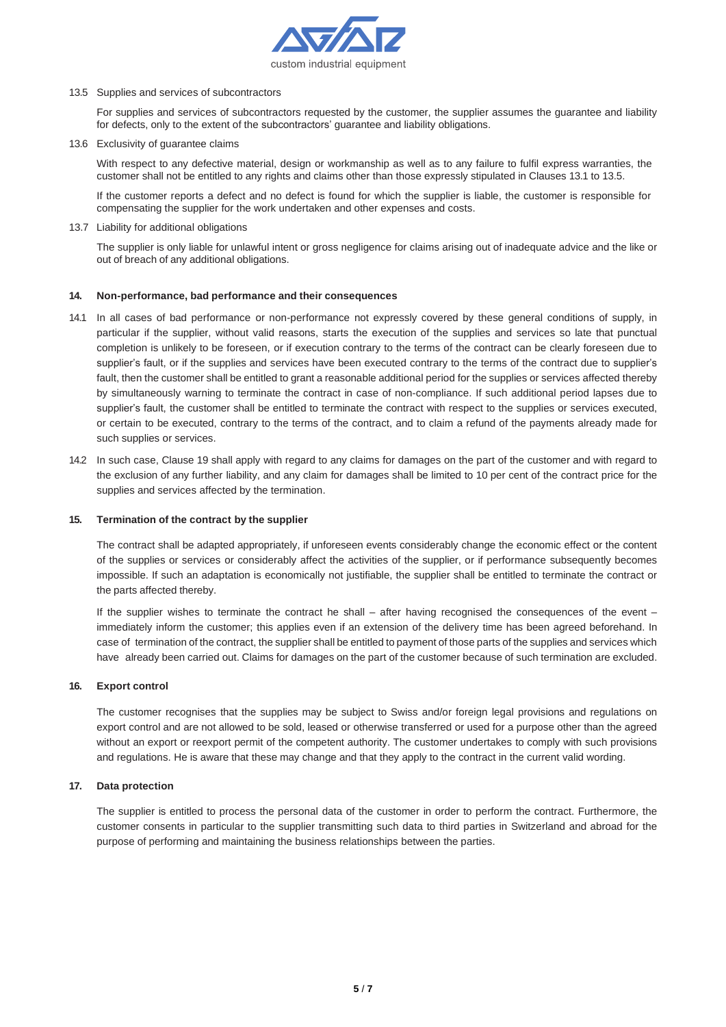

13.5 Supplies and services of subcontractors

For supplies and services of subcontractors requested by the customer, the supplier assumes the guarantee and liability for defects, only to the extent of the subcontractors' guarantee and liability obligations.

13.6 Exclusivity of guarantee claims

With respect to any defective material, design or workmanship as well as to any failure to fulfil express warranties, the customer shall not be entitled to any rights and claims other than those expressly stipulated in Clauses 13.1 to 13.5.

If the customer reports a defect and no defect is found for which the supplier is liable, the customer is responsible for compensating the supplier for the work undertaken and other expenses and costs.

13.7 Liability for additional obligations

The supplier is only liable for unlawful intent or gross negligence for claims arising out of inadequate advice and the like or out of breach of any additional obligations.

## **14. Non-performance, bad performance and their consequences**

- 14.1 In all cases of bad performance or non-performance not expressly covered by these general conditions of supply, in particular if the supplier, without valid reasons, starts the execution of the supplies and services so late that punctual completion is unlikely to be foreseen, or if execution contrary to the terms of the contract can be clearly foreseen due to supplier's fault, or if the supplies and services have been executed contrary to the terms of the contract due to supplier's fault, then the customer shall be entitled to grant a reasonable additional period for the supplies or services affected thereby by simultaneously warning to terminate the contract in case of non-compliance. If such additional period lapses due to supplier's fault, the customer shall be entitled to terminate the contract with respect to the supplies or services executed, or certain to be executed, contrary to the terms of the contract, and to claim a refund of the payments already made for such supplies or services.
- 14.2 In such case, Clause 19 shall apply with regard to any claims for damages on the part of the customer and with regard to the exclusion of any further liability, and any claim for damages shall be limited to 10 per cent of the contract price for the supplies and services affected by the termination.

#### **15. Termination of the contract by the supplier**

The contract shall be adapted appropriately, if unforeseen events considerably change the economic effect or the content of the supplies or services or considerably affect the activities of the supplier, or if performance subsequently becomes impossible. If such an adaptation is economically not justifiable, the supplier shall be entitled to terminate the contract or the parts affected thereby.

If the supplier wishes to terminate the contract he shall – after having recognised the consequences of the event – immediately inform the customer; this applies even if an extension of the delivery time has been agreed beforehand. In case of termination of the contract, the supplier shall be entitled to payment of those parts of the supplies and services which have already been carried out. Claims for damages on the part of the customer because of such termination are excluded.

## **16. Export control**

The customer recognises that the supplies may be subject to Swiss and/or foreign legal provisions and regulations on export control and are not allowed to be sold, leased or otherwise transferred or used for a purpose other than the agreed without an export or reexport permit of the competent authority. The customer undertakes to comply with such provisions and regulations. He is aware that these may change and that they apply to the contract in the current valid wording.

## **17. Data protection**

The supplier is entitled to process the personal data of the customer in order to perform the contract. Furthermore, the customer consents in particular to the supplier transmitting such data to third parties in Switzerland and abroad for the purpose of performing and maintaining the business relationships between the parties.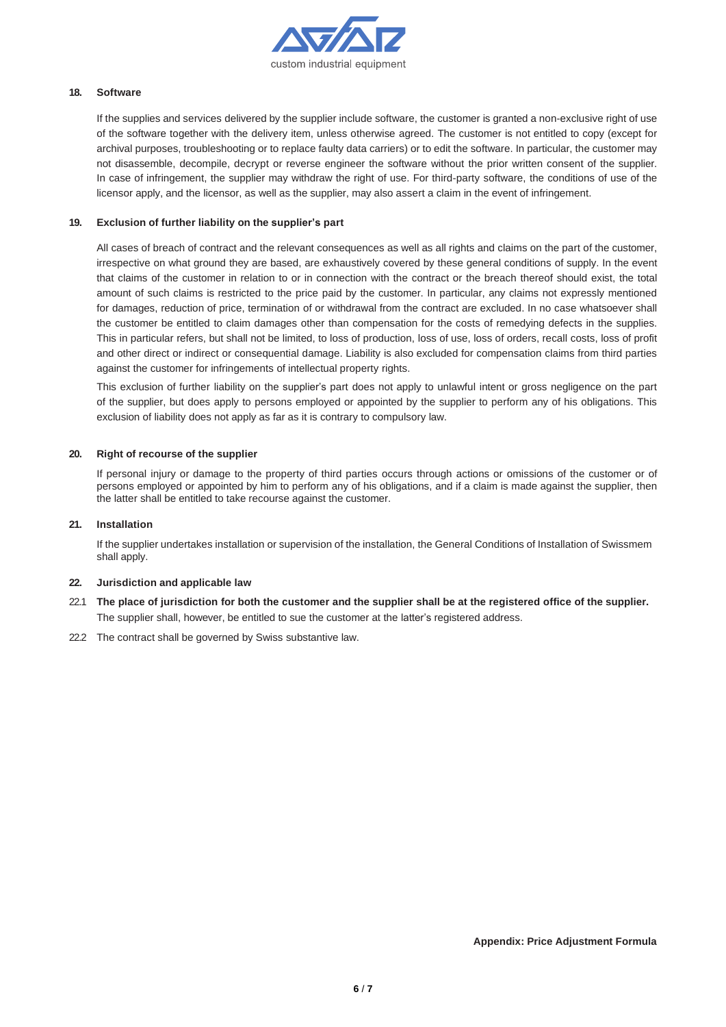

# **18. Software**

If the supplies and services delivered by the supplier include software, the customer is granted a non-exclusive right of use of the software together with the delivery item, unless otherwise agreed. The customer is not entitled to copy (except for archival purposes, troubleshooting or to replace faulty data carriers) or to edit the software. In particular, the customer may not disassemble, decompile, decrypt or reverse engineer the software without the prior written consent of the supplier. In case of infringement, the supplier may withdraw the right of use. For third-party software, the conditions of use of the licensor apply, and the licensor, as well as the supplier, may also assert a claim in the event of infringement.

## **19. Exclusion of further liability on the supplier's part**

All cases of breach of contract and the relevant consequences as well as all rights and claims on the part of the customer, irrespective on what ground they are based, are exhaustively covered by these general conditions of supply. In the event that claims of the customer in relation to or in connection with the contract or the breach thereof should exist, the total amount of such claims is restricted to the price paid by the customer. In particular, any claims not expressly mentioned for damages, reduction of price, termination of or withdrawal from the contract are excluded. In no case whatsoever shall the customer be entitled to claim damages other than compensation for the costs of remedying defects in the supplies. This in particular refers, but shall not be limited, to loss of production, loss of use, loss of orders, recall costs, loss of profit and other direct or indirect or consequential damage. Liability is also excluded for compensation claims from third parties against the customer for infringements of intellectual property rights.

This exclusion of further liability on the supplier's part does not apply to unlawful intent or gross negligence on the part of the supplier, but does apply to persons employed or appointed by the supplier to perform any of his obligations. This exclusion of liability does not apply as far as it is contrary to compulsory law.

# **20. Right of recourse of the supplier**

If personal injury or damage to the property of third parties occurs through actions or omissions of the customer or of persons employed or appointed by him to perform any of his obligations, and if a claim is made against the supplier, then the latter shall be entitled to take recourse against the customer.

## **21. Installation**

If the supplier undertakes installation or supervision of the installation, the General Conditions of Installation of Swissmem shall apply.

## **22. Jurisdiction and applicable law**

- 22.1 The place of jurisdiction for both the customer and the supplier shall be at the registered office of the supplier. The supplier shall, however, be entitled to sue the customer at the latter's registered address.
- 22.2 The contract shall be governed by Swiss substantive law.